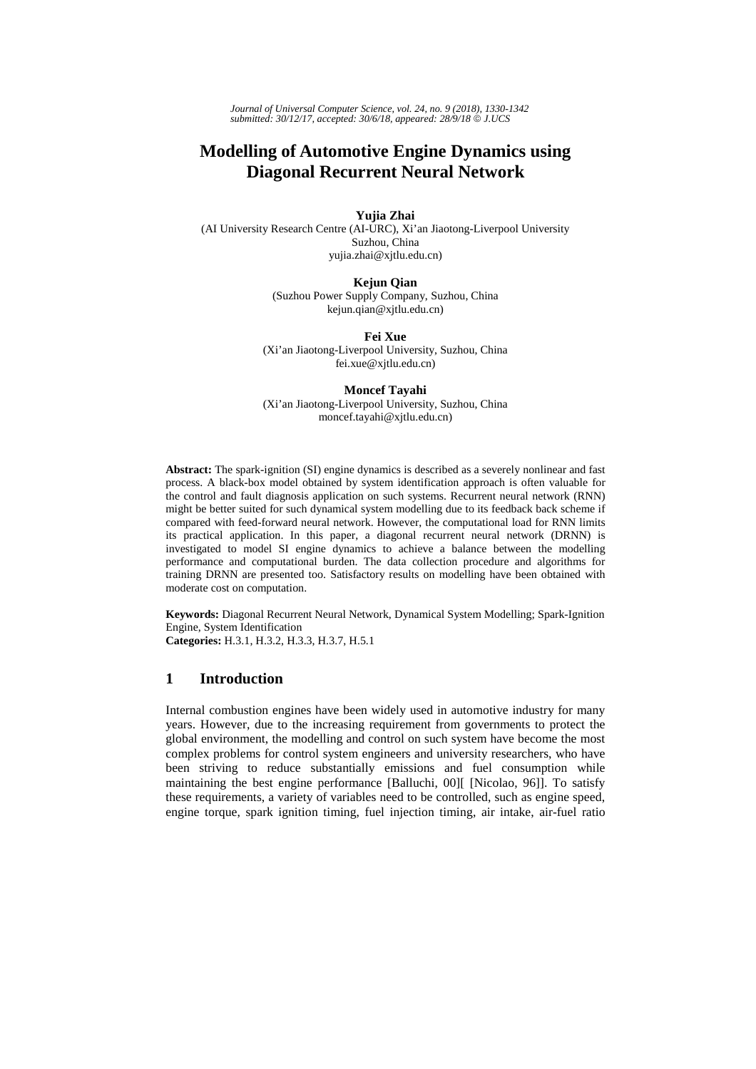*Journal of Universal Computer Science, vol. 24, no. 9 (2018), 1330-1342 submitted: 30/12/17, accepted: 30/6/18, appeared: 28/9/18* © *J.UCS*

# **Modelling of Automotive Engine Dynamics using Diagonal Recurrent Neural Network**

**Yujia Zhai**  (AI University Research Centre (AI-URC), Xi'an Jiaotong-Liverpool University

> Suzhou, China yujia.zhai@xjtlu.edu.cn)

**Kejun Qian**  (Suzhou Power Supply Company, Suzhou, China kejun.qian@xjtlu.edu.cn)

**Fei Xue** 

(Xi'an Jiaotong-Liverpool University, Suzhou, China fei.xue@xjtlu.edu.cn)

**Moncef Tayahi**  (Xi'an Jiaotong-Liverpool University, Suzhou, China moncef.tayahi@xjtlu.edu.cn)

**Abstract:** The spark-ignition (SI) engine dynamics is described as a severely nonlinear and fast process. A black-box model obtained by system identification approach is often valuable for the control and fault diagnosis application on such systems. Recurrent neural network (RNN) might be better suited for such dynamical system modelling due to its feedback back scheme if compared with feed-forward neural network. However, the computational load for RNN limits its practical application. In this paper, a diagonal recurrent neural network (DRNN) is investigated to model SI engine dynamics to achieve a balance between the modelling performance and computational burden. The data collection procedure and algorithms for training DRNN are presented too. Satisfactory results on modelling have been obtained with moderate cost on computation.

**Keywords:** Diagonal Recurrent Neural Network, Dynamical System Modelling; Spark-Ignition Engine, System Identification **Categories:** H.3.1, H.3.2, H.3.3, H.3.7, H.5.1

# **1 Introduction**

Internal combustion engines have been widely used in automotive industry for many years. However, due to the increasing requirement from governments to protect the global environment, the modelling and control on such system have become the most complex problems for control system engineers and university researchers, who have been striving to reduce substantially emissions and fuel consumption while maintaining the best engine performance [Balluchi, 00][ [Nicolao, 96]]. To satisfy these requirements, a variety of variables need to be controlled, such as engine speed, engine torque, spark ignition timing, fuel injection timing, air intake, air-fuel ratio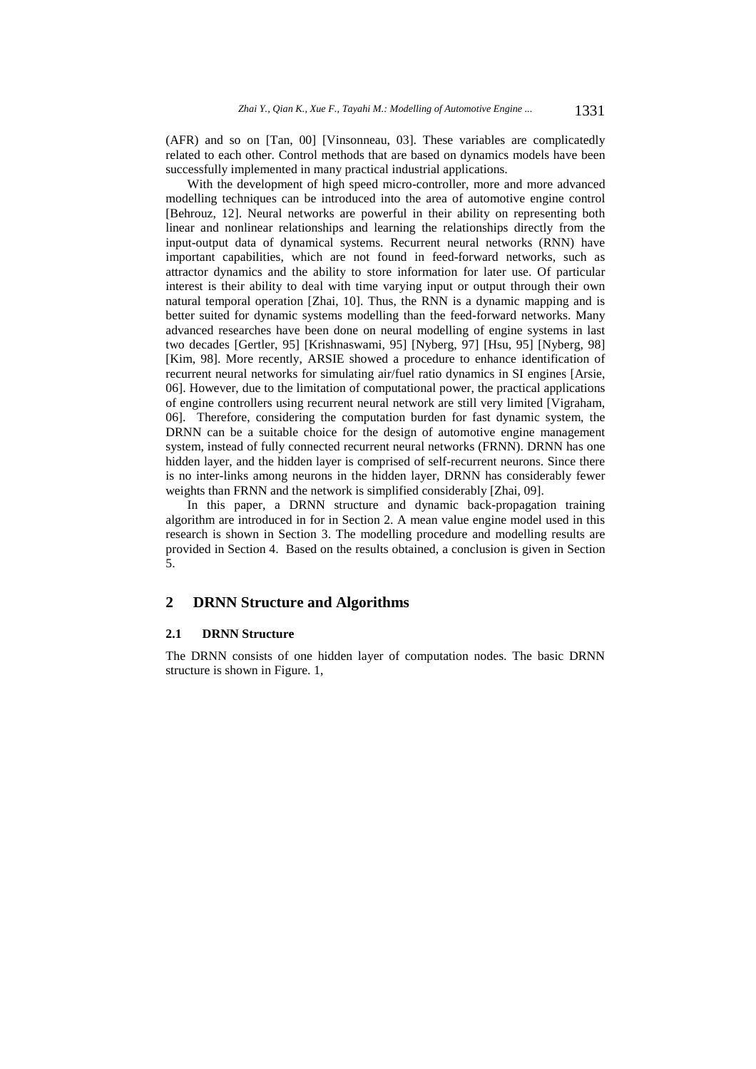(AFR) and so on [Tan, 00] [Vinsonneau, 03]. These variables are complicatedly related to each other. Control methods that are based on dynamics models have been successfully implemented in many practical industrial applications.

With the development of high speed micro-controller, more and more advanced modelling techniques can be introduced into the area of automotive engine control [Behrouz, 12]. Neural networks are powerful in their ability on representing both linear and nonlinear relationships and learning the relationships directly from the input-output data of dynamical systems. Recurrent neural networks (RNN) have important capabilities, which are not found in feed-forward networks, such as attractor dynamics and the ability to store information for later use. Of particular interest is their ability to deal with time varying input or output through their own natural temporal operation [Zhai, 10]. Thus, the RNN is a dynamic mapping and is better suited for dynamic systems modelling than the feed-forward networks. Many advanced researches have been done on neural modelling of engine systems in last two decades [Gertler, 95] [Krishnaswami, 95] [Nyberg, 97] [Hsu, 95] [Nyberg, 98] [Kim, 98]. More recently, ARSIE showed a procedure to enhance identification of recurrent neural networks for simulating air/fuel ratio dynamics in SI engines [Arsie, 06]. However, due to the limitation of computational power, the practical applications of engine controllers using recurrent neural network are still very limited [Vigraham, 06]. Therefore, considering the computation burden for fast dynamic system, the DRNN can be a suitable choice for the design of automotive engine management system, instead of fully connected recurrent neural networks (FRNN). DRNN has one hidden layer, and the hidden layer is comprised of self-recurrent neurons. Since there is no inter-links among neurons in the hidden layer, DRNN has considerably fewer weights than FRNN and the network is simplified considerably [Zhai, 09].

In this paper, a DRNN structure and dynamic back-propagation training algorithm are introduced in for in Section 2. A mean value engine model used in this research is shown in Section 3. The modelling procedure and modelling results are provided in Section 4. Based on the results obtained, a conclusion is given in Section 5.

## **2 DRNN Structure and Algorithms**

#### **2.1 DRNN Structure**

The DRNN consists of one hidden layer of computation nodes. The basic DRNN structure is shown in Figure. 1,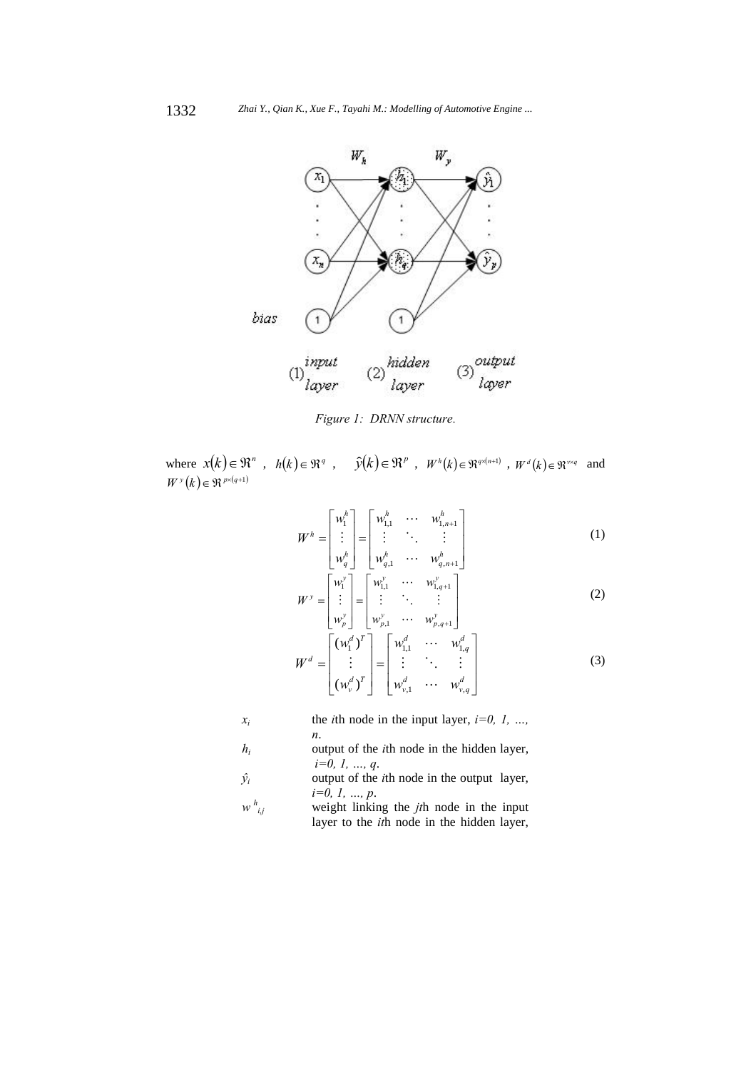

*Figure 1: DRNN structure*.

where  $x(k) \in \mathbb{R}^n$ ,  $h(k) \in \mathbb{R}^q$ ,  $\hat{y}(k) \in \mathbb{R}^p$ ,  $W^h(k) \in \mathbb{R}^{q \times (n+1)}$ ,  $W^d(k) \in \mathbb{R}^{n \times q}$  and  $W^{y}(k) \in \Re^{p \times (q+1)}$ 

$$
W^{h} = \begin{bmatrix} w_{1}^{h} \\ \vdots \\ w_{q}^{h} \end{bmatrix} = \begin{bmatrix} w_{1,1}^{h} & \cdots & w_{1,n+1}^{h} \\ \vdots & \ddots & \vdots \\ w_{q,1}^{h} & \cdots & w_{q,n+1}^{h} \end{bmatrix}
$$
 (1)

$$
W^{\mathcal{Y}} = \begin{bmatrix} w_1^{\mathcal{Y}} \\ \vdots \\ w_p^{\mathcal{Y}} \end{bmatrix} = \begin{bmatrix} w_{1,1}^{\mathcal{Y}} & \cdots & w_{1,q+1}^{\mathcal{Y}} \\ \vdots & \ddots & \vdots \\ w_{p,1}^{\mathcal{Y}} & \cdots & w_{p,q+1}^{\mathcal{Y}} \end{bmatrix}
$$
 (2)

$$
W^d = \begin{bmatrix} (w_1^d)^T \\ \vdots \\ (w_v^d)^T \end{bmatrix} = \begin{bmatrix} w_{1,1}^d & \cdots & w_{1,q}^d \\ \vdots & \ddots & \vdots \\ w_{v,1}^d & \cdots & w_{v,q}^d \end{bmatrix}
$$
 (3)

$$
x_i
$$
 the *i*th node in the input layer,  $i=0, 1, ..., n$ .

$$
h_i
$$
 output of the *i*th node in the hidden layer,  
 $i=0, 1, ..., q$ .

$$
\hat{y}_i
$$
 output of the *i*th node in the output layer,  
\n $i=0, 1, ..., p$ .

*w h i,j* weight linking the *jt*h node in the input layer to the *it*h node in the hidden layer,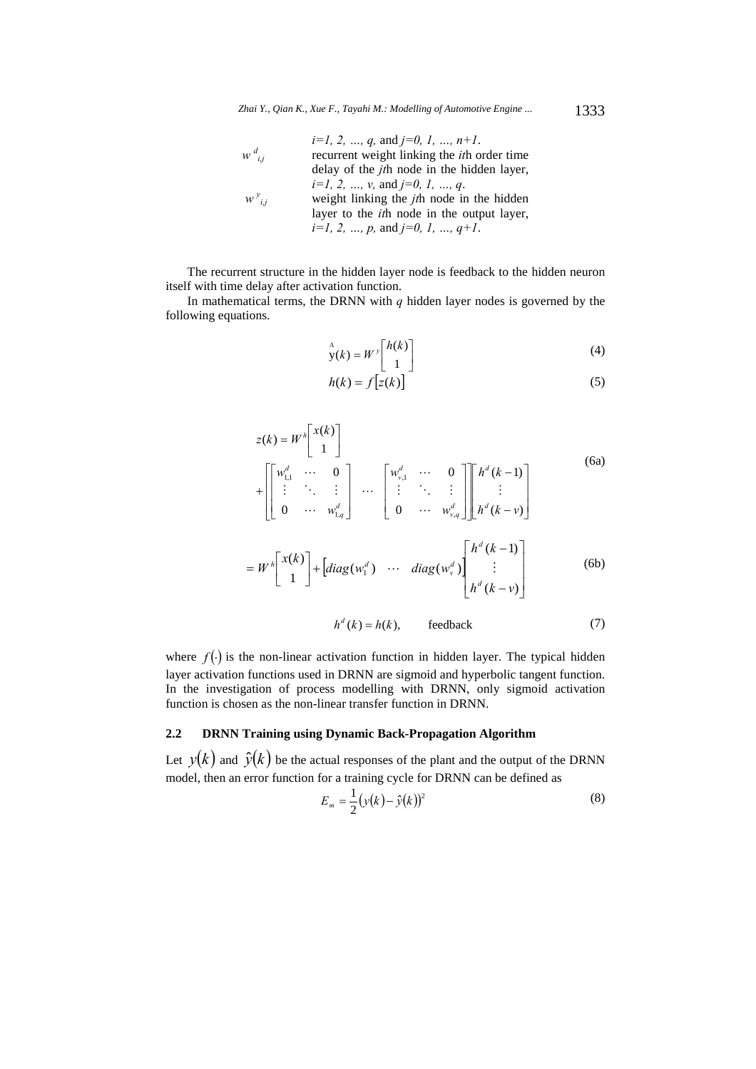*i=1, 2, …, q,* and *j=0, 1, …, n+1*. *w d i,j* recurrent weight linking the *it*h order time delay of the *jt*h node in the hidden layer, *i=1, 2, …, v,* and *j=0, 1, …, q*.  *w <sup>y</sup> i,j* weight linking the *jt*h node in the hidden layer to the *it*h node in the output layer, *i=1, 2, …, p,* and *j=0, 1, …, q+1*.

The recurrent structure in the hidden layer node is feedback to the hidden neuron itself with time delay after activation function.

In mathematical terms, the DRNN with  $q$  hidden layer nodes is governed by the following equations.

$$
\mathbf{y}(k) = W^{\mathcal{V}} \begin{bmatrix} h(k) \\ 1 \end{bmatrix} \tag{4}
$$

$$
h(k) = f\left[z(k)\right] \tag{5}
$$

$$
z(k) = W^h \begin{bmatrix} x(k) \\ 1 \end{bmatrix}
$$
  
+ 
$$
\begin{bmatrix} w_{1,1}^d & \cdots & 0 \\ \vdots & \ddots & \vdots \\ 0 & \cdots & w_{1,q}^d \end{bmatrix} \cdots \begin{bmatrix} w_{v,1}^d & \cdots & 0 \\ \vdots & \ddots & \vdots \\ 0 & \cdots & w_{v,q}^d \end{bmatrix} \begin{bmatrix} h^d(k-1) \\ \vdots \\ h^d(k-v) \end{bmatrix}
$$
  
= 
$$
W^h \begin{bmatrix} x(k) \\ 1 \end{bmatrix} + \begin{bmatrix} diag(w_1^d) & \cdots & diag(w_v^d) \\ \vdots & \vdots \\ h^d(k-v) \end{bmatrix} \begin{bmatrix} h^d(k-1) \\ \vdots \\ h^d(k-v) \end{bmatrix}
$$
 (6b)

$$
h^d(k) = h(k), \qquad \text{feedback} \tag{7}
$$

where  $f(.)$  is the non-linear activation function in hidden layer. The typical hidden layer activation functions used in DRNN are sigmoid and hyperbolic tangent function. In the investigation of process modelling with DRNN, only sigmoid activation function is chosen as the non-linear transfer function in DRNN.

# **2.2 DRNN Training using Dynamic Back-Propagation Algorithm**

Let  $y(k)$  and  $\hat{y}(k)$  be the actual responses of the plant and the output of the DRNN model, then an error function for a training cycle for DRNN can be defined as

$$
E_m = \frac{1}{2} (y(k) - \hat{y}(k))^2
$$
 (8)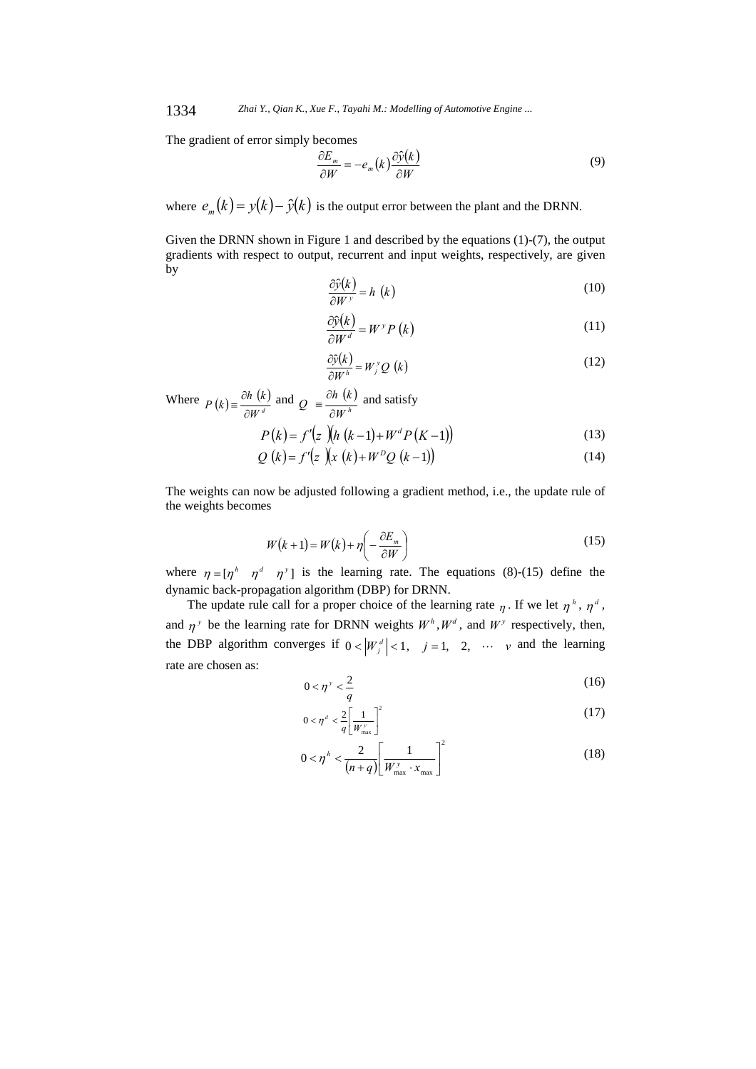1334 *Zhai Y., Qian K., Xue F., Tayahi M.: Modelling of Automotive Engine ...*

The gradient of error simply becomes

$$
\frac{\partial E_m}{\partial W} = -e_m(k) \frac{\partial \hat{y}(k)}{\partial W} \tag{9}
$$

where  $e_m(k) = y(k) - \hat{y}(k)$  is the output error between the plant and the DRNN.

Given the DRNN shown in Figure 1 and described by the equations (1)-(7), the output gradients with respect to output, recurrent and input weights, respectively, are given by

$$
\frac{\partial \hat{y}(k)}{\partial W^{\nu}} = h(k)
$$
 (10)

$$
\frac{\partial \hat{y}(k)}{\partial W^d} = W^{\gamma} P(k)
$$
\n(11)

$$
\frac{\partial \hat{y}(k)}{\partial W^h} = W_j^v Q \ (k) \tag{12}
$$

Where  $P(k) = \frac{\partial h(k)}{\partial W^d}$  $P(k) = \frac{\partial h(k)}{\partial W^d}$  and  $Q = \frac{\partial h(k)}{\partial W^h}$  $Q = \frac{\partial h(k)}{\partial W^h}$  and satisfy

$$
P(k) = f'(z)(h(k-1) + W^d P(k-1))
$$
\n(13)

$$
Q(k) = f'(z)(x(k) + W^D Q(k-1))
$$
\n(14)

The weights can now be adjusted following a gradient method, i.e., the update rule of the weights becomes

$$
W(k+1) = W(k) + \eta \left( -\frac{\partial E_m}{\partial W} \right)
$$
 (15)

where  $\eta = [\eta^h \quad \eta^d \quad \eta^y]$  is the learning rate. The equations (8)-(15) define the dynamic back-propagation algorithm (DBP) for DRNN.

The update rule call for a proper choice of the learning rate  $\eta$ . If we let  $\eta^h$ ,  $\eta^d$ , and  $\eta^y$  be the learning rate for DRNN weights  $W^h$ ,  $W^d$ , and  $W^y$  respectively, then, the DBP algorithm converges if  $0 < |\mathcal{W}_{j}^{d}| < 1$ ,  $j = 1, 2, \dots$  v and the learning rate are chosen as:

$$
0 < \eta^{\nu} < \frac{2}{q} \tag{16}
$$

$$
0 < \eta^d < \frac{2}{q} \left[ \frac{1}{W_{\text{max}}^y} \right]^2 \tag{17}
$$

$$
0 < \eta^h < \frac{2}{(n+q)} \left[ \frac{1}{W_{\text{max}}^y \cdot x_{\text{max}}} \right]^2
$$
 (18)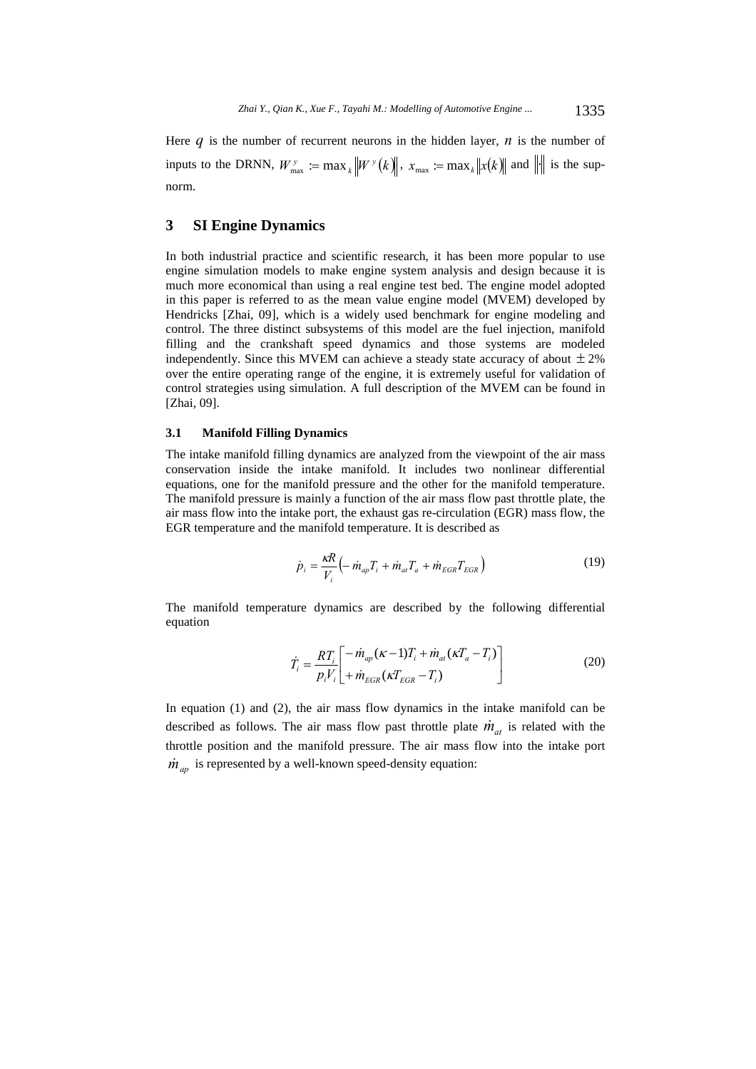Here  $q$  is the number of recurrent neurons in the hidden layer,  $n$  is the number of inputs to the DRNN,  $W_{\text{max}}^y := \max_k \|W^y(k)\|$ ,  $x_{\text{max}} := \max_k \|x(k)\|$  and  $\|\cdot\|$  is the supnorm.

## **3 SI Engine Dynamics**

In both industrial practice and scientific research, it has been more popular to use engine simulation models to make engine system analysis and design because it is much more economical than using a real engine test bed. The engine model adopted in this paper is referred to as the mean value engine model (MVEM) developed by Hendricks [Zhai, 09], which is a widely used benchmark for engine modeling and control. The three distinct subsystems of this model are the fuel injection, manifold filling and the crankshaft speed dynamics and those systems are modeled independently. Since this MVEM can achieve a steady state accuracy of about  $\pm 2\%$ over the entire operating range of the engine, it is extremely useful for validation of control strategies using simulation. A full description of the MVEM can be found in [Zhai, 09].

#### **3.1 Manifold Filling Dynamics**

The intake manifold filling dynamics are analyzed from the viewpoint of the air mass conservation inside the intake manifold. It includes two nonlinear differential equations, one for the manifold pressure and the other for the manifold temperature. The manifold pressure is mainly a function of the air mass flow past throttle plate, the air mass flow into the intake port, the exhaust gas re-circulation (EGR) mass flow, the EGR temperature and the manifold temperature. It is described as

$$
\dot{p}_i = \frac{\kappa R}{V_i} \left( -\dot{m}_{ap} T_i + \dot{m}_{at} T_a + \dot{m}_{EGR} T_{EGR} \right) \tag{19}
$$

The manifold temperature dynamics are described by the following differential equation

$$
\dot{T}_i = \frac{RT_i}{p_i V_i} \left[ -\dot{m}_{ap} (\kappa - 1) T_i + \dot{m}_{at} (\kappa T_a - T_i) \right]
$$
\n
$$
\dot{T}_i = \frac{p_i V_i}{p_i V_i} \left[ + \dot{m}_{EGR} (\kappa T_{EGR} - T_i) \right]
$$
\n(20)

In equation (1) and (2), the air mass flow dynamics in the intake manifold can be described as follows. The air mass flow past throttle plate  $\dot{m}_{at}$  is related with the throttle position and the manifold pressure. The air mass flow into the intake port  $\dot{m}_{ap}$  is represented by a well-known speed-density equation: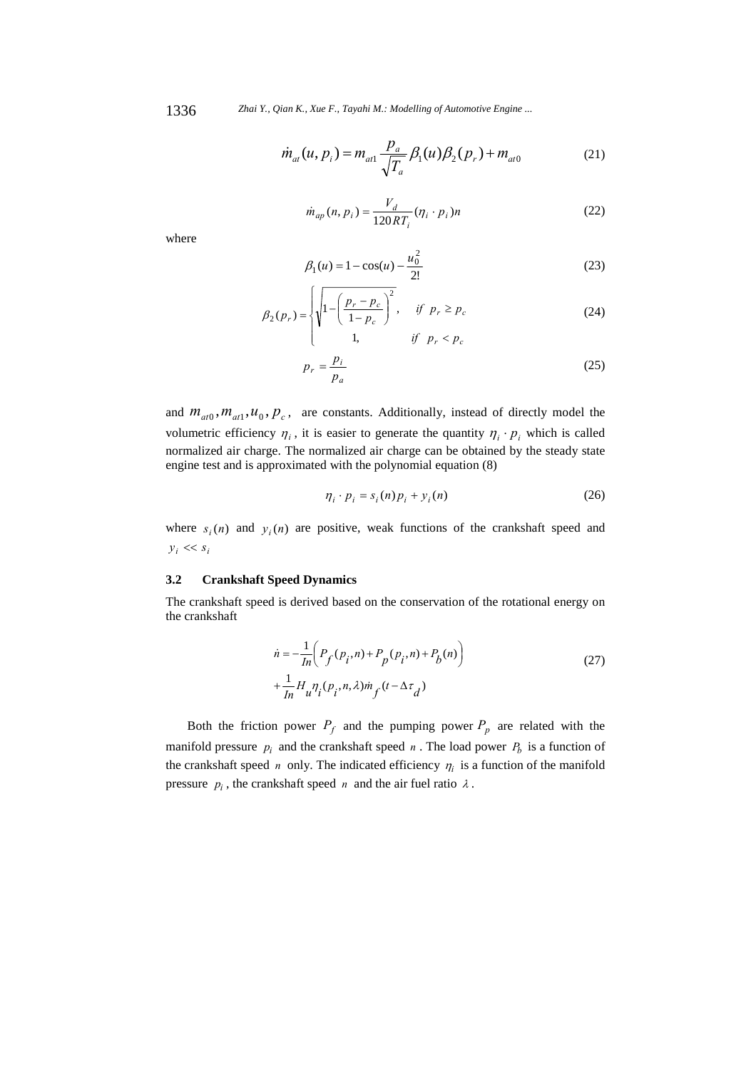1336 *Zhai Y., Qian K., Xue F., Tayahi M.: Modelling of Automotive Engine ...*

$$
\dot{m}_{at}(u, p_i) = m_{at1} \frac{p_a}{\sqrt{T_a}} \beta_1(u) \beta_2(p_r) + m_{at0}
$$
 (21)

$$
\dot{m}_{ap}(n, p_i) = \frac{V_d}{120RT_i} (\eta_i \cdot p_i) n
$$
\n(22)

where

$$
\beta_1(u) = 1 - \cos(u) - \frac{u_0^2}{2!} \tag{23}
$$

$$
\beta_2(p_r) = \begin{cases} \sqrt{1 - \left(\frac{p_r - p_c}{1 - p_c}\right)^2}, & \text{if } p_r \ge p_c \\ 1, & \text{if } p_r < p_c \end{cases} \tag{24}
$$

$$
p_r = \frac{p_i}{p_a} \tag{25}
$$

and  $m_{at0}$ ,  $m_{at1}$ ,  $u_0$ ,  $p_c$ , are constants. Additionally, instead of directly model the volumetric efficiency  $\eta_i$ , it is easier to generate the quantity  $\eta_i \cdot p_i$  which is called normalized air charge. The normalized air charge can be obtained by the steady state engine test and is approximated with the polynomial equation (8)

$$
\eta_i \cdot p_i = s_i(n) p_i + y_i(n) \tag{26}
$$

where  $s_i(n)$  and  $y_i(n)$  are positive, weak functions of the crankshaft speed and  $y_i \ll s_i$ 

#### **3.2 Crankshaft Speed Dynamics**

The crankshaft speed is derived based on the conservation of the rotational energy on the crankshaft

$$
\dot{n} = -\frac{1}{\ln} \left( P_f(p_i, n) + P_p(p_i, n) + P_b(n) \right)
$$
  
+ 
$$
\frac{1}{\ln} H_u \eta_i (p_i, n, \lambda) m_f (t - \Delta \tau_d)
$$
 (27)

Both the friction power  $P_f$  and the pumping power  $P_p$  are related with the manifold pressure  $p_i$  and the crankshaft speed  $n$ . The load power  $P_b$  is a function of the crankshaft speed *n* only. The indicated efficiency  $\eta_i$  is a function of the manifold pressure  $p_i$ , the crankshaft speed *n* and the air fuel ratio  $\lambda$ .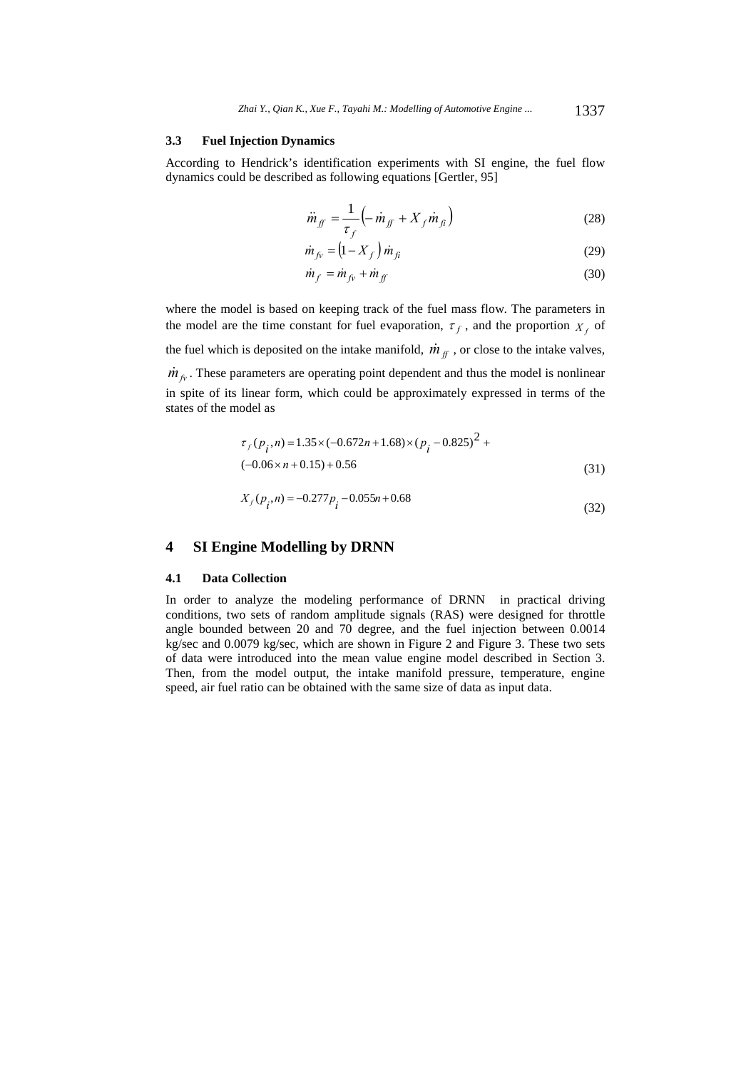#### **3.3 Fuel Injection Dynamics**

According to Hendrick's identification experiments with SI engine, the fuel flow dynamics could be described as following equations [Gertler, 95]

$$
\ddot{m}_{ff} = \frac{1}{\tau_f} \left( -\dot{m}_{ff} + X_f \dot{m}_{fi} \right) \tag{28}
$$

$$
\dot{m}_{fv} = \left(1 - X_f\right) \dot{m}_{fi} \tag{29}
$$

$$
\dot{m}_f = \dot{m}_{fv} + \dot{m}_{ff} \tag{30}
$$

where the model is based on keeping track of the fuel mass flow. The parameters in the model are the time constant for fuel evaporation,  $\tau_f$ , and the proportion  $X_f$  of the fuel which is deposited on the intake manifold,  $\dot{m}_{ff}$ , or close to the intake valves,  $\dot{m}_{fv}$ . These parameters are operating point dependent and thus the model is nonlinear

in spite of its linear form, which could be approximately expressed in terms of the states of the model as

$$
\tau_f(p_i, n) = 1.35 \times (-0.672n + 1.68) \times (p_i - 0.825)^2 +
$$
  

$$
(-0.06 \times n + 0.15) + 0.56
$$
 (31)

$$
X_f(p_i, n) = -0.277 p_i - 0.055 n + 0.68
$$
\n(32)

# **4 SI Engine Modelling by DRNN**

#### **4.1 Data Collection**

In order to analyze the modeling performance of DRNN in practical driving conditions, two sets of random amplitude signals (RAS) were designed for throttle angle bounded between 20 and 70 degree, and the fuel injection between 0.0014 kg/sec and 0.0079 kg/sec, which are shown in Figure 2 and Figure 3. These two sets of data were introduced into the mean value engine model described in Section 3. Then, from the model output, the intake manifold pressure, temperature, engine speed, air fuel ratio can be obtained with the same size of data as input data.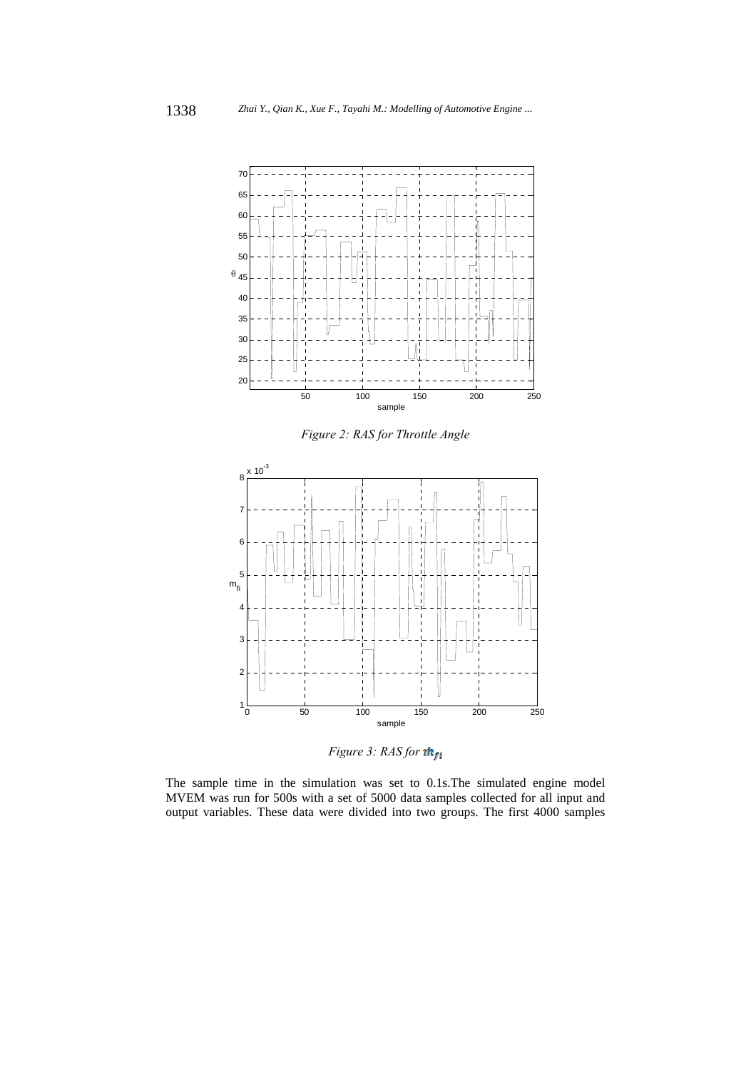

*Figure 2: RAS for Throttle Angle* 



*Figure 3: RAS for* 

The sample time in the simulation was set to 0.1s.The simulated engine model MVEM was run for 500s with a set of 5000 data samples collected for all input and output variables. These data were divided into two groups. The first 4000 samples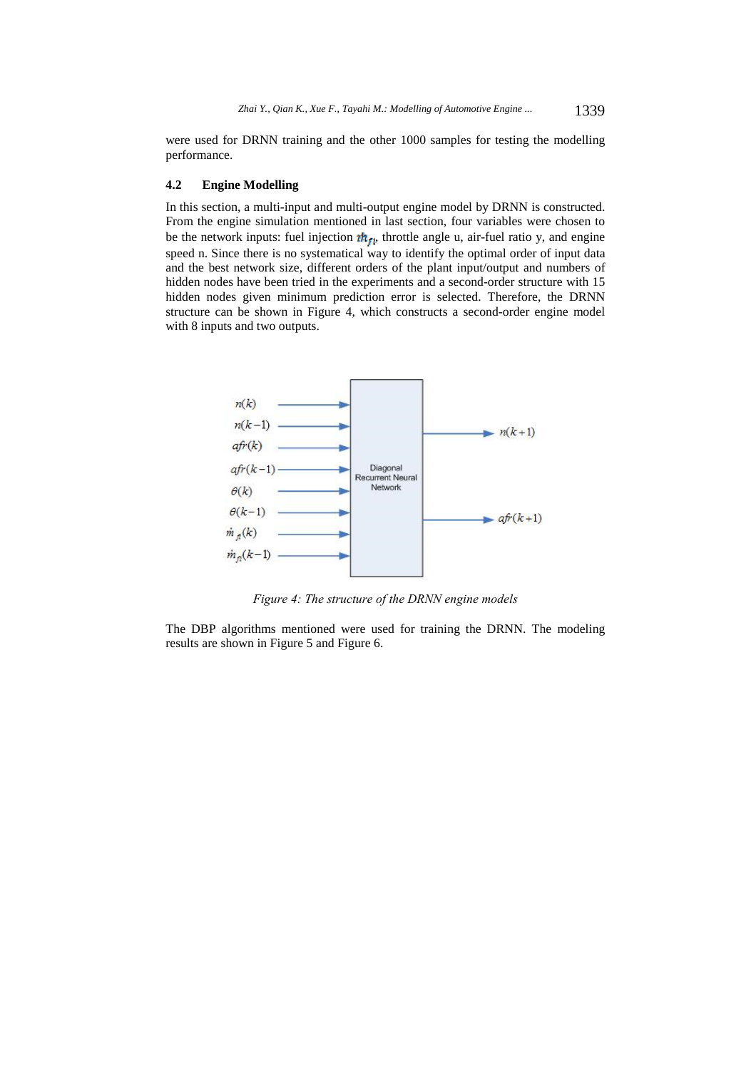were used for DRNN training and the other 1000 samples for testing the modelling performance.

#### **4.2 Engine Modelling**

In this section, a multi-input and multi-output engine model by DRNN is constructed. From the engine simulation mentioned in last section, four variables were chosen to be the network inputs: fuel injection  $\mathbf{m}_{\text{ff}}$ , throttle angle u, air-fuel ratio y, and engine speed n. Since there is no systematical way to identify the optimal order of input data and the best network size, different orders of the plant input/output and numbers of hidden nodes have been tried in the experiments and a second-order structure with 15 hidden nodes given minimum prediction error is selected. Therefore, the DRNN structure can be shown in Figure 4, which constructs a second-order engine model with 8 inputs and two outputs.



*Figure 4: The structure of the DRNN engine models* 

The DBP algorithms mentioned were used for training the DRNN. The modeling results are shown in Figure 5 and Figure 6.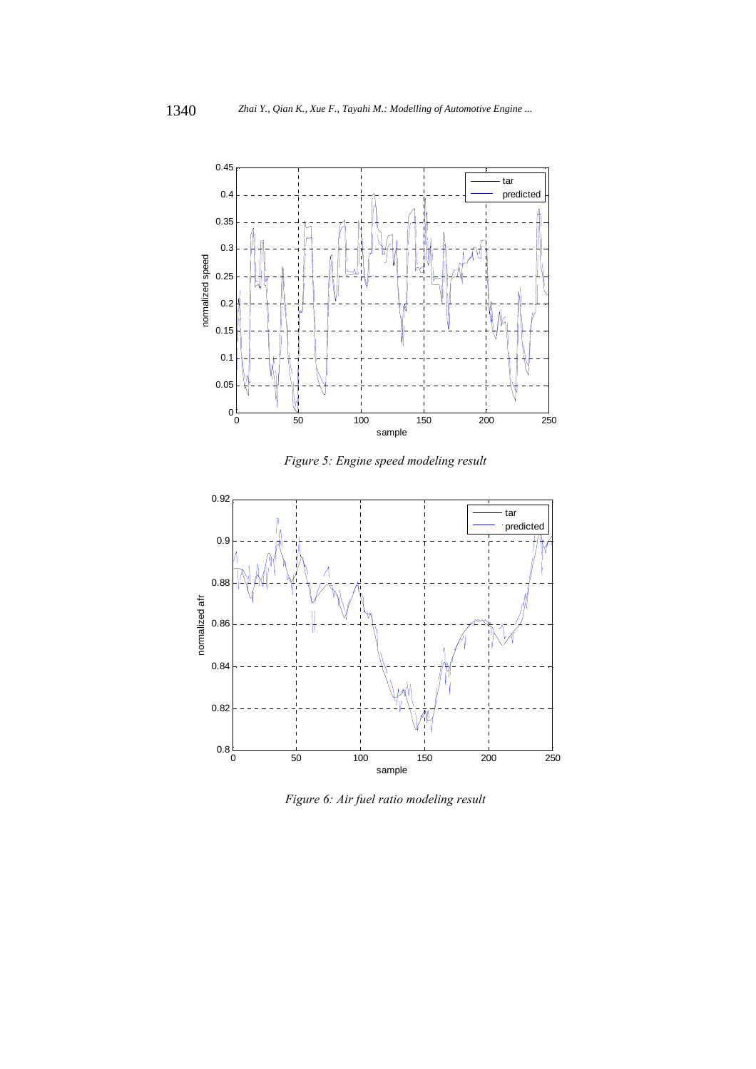

*Figure 5: Engine speed modeling result* 



*Figure 6: Air fuel ratio modeling result*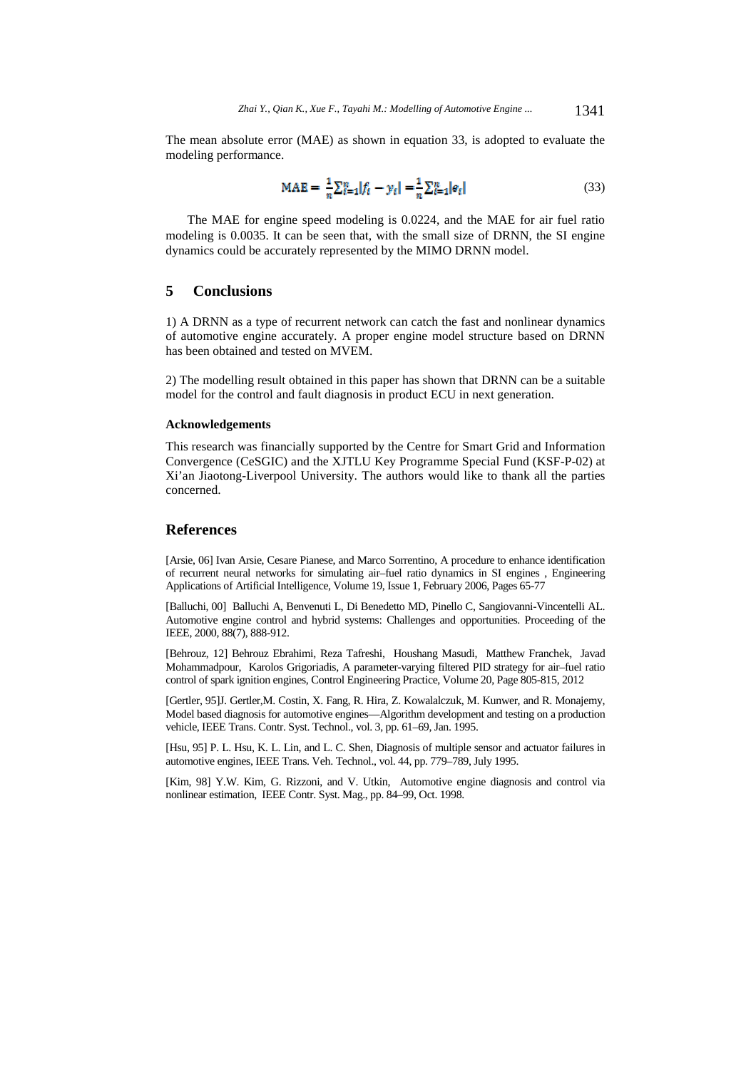The mean absolute error (MAE) as shown in equation 33, is adopted to evaluate the modeling performance.

$$
MAE = \frac{1}{n} \sum_{\ell=1}^{n} |f_{\ell} - y_{\ell}| = \frac{1}{n} \sum_{\ell=1}^{n} |e_{\ell}| \tag{33}
$$

The MAE for engine speed modeling is 0.0224, and the MAE for air fuel ratio modeling is 0.0035. It can be seen that, with the small size of DRNN, the SI engine dynamics could be accurately represented by the MIMO DRNN model.

# **5 Conclusions**

1) A DRNN as a type of recurrent network can catch the fast and nonlinear dynamics of automotive engine accurately. A proper engine model structure based on DRNN has been obtained and tested on MVEM.

2) The modelling result obtained in this paper has shown that DRNN can be a suitable model for the control and fault diagnosis in product ECU in next generation.

#### **Acknowledgements**

This research was financially supported by the Centre for Smart Grid and Information Convergence (CeSGIC) and the XJTLU Key Programme Special Fund (KSF-P-02) at Xi'an Jiaotong-Liverpool University. The authors would like to thank all the parties concerned.

#### **References**

[Arsie, 06] Ivan Arsie, Cesare Pianese, and Marco Sorrentino, A procedure to enhance identification of recurrent neural networks for simulating air–fuel ratio dynamics in SI engines , Engineering Applications of Artificial Intelligence, Volume 19, Issue 1, February 2006, Pages 65-77

[Balluchi, 00] Balluchi A, Benvenuti L, Di Benedetto MD, Pinello C, Sangiovanni-Vincentelli AL. Automotive engine control and hybrid systems: Challenges and opportunities. Proceeding of the IEEE, 2000, 88(7), 888-912.

[Behrouz, 12] Behrouz Ebrahimi, Reza Tafreshi, Houshang Masudi, Matthew Franchek, Javad Mohammadpour, Karolos Grigoriadis, A parameter-varying filtered PID strategy for air–fuel ratio control of spark ignition engines, Control Engineering Practice, Volume 20, Page 805-815, 2012

[Gertler, 95]J. Gertler,M. Costin, X. Fang, R. Hira, Z. Kowalalczuk, M. Kunwer, and R. Monajemy, Model based diagnosis for automotive engines—Algorithm development and testing on a production vehicle, IEEE Trans. Contr. Syst. Technol., vol. 3, pp. 61–69, Jan. 1995.

[Hsu, 95] P. L. Hsu, K. L. Lin, and L. C. Shen, Diagnosis of multiple sensor and actuator failures in automotive engines, IEEE Trans. Veh. Technol., vol. 44, pp. 779–789, July 1995.

[Kim, 98] Y.W. Kim, G. Rizzoni, and V. Utkin, Automotive engine diagnosis and control via nonlinear estimation, IEEE Contr. Syst. Mag., pp. 84–99, Oct. 1998.